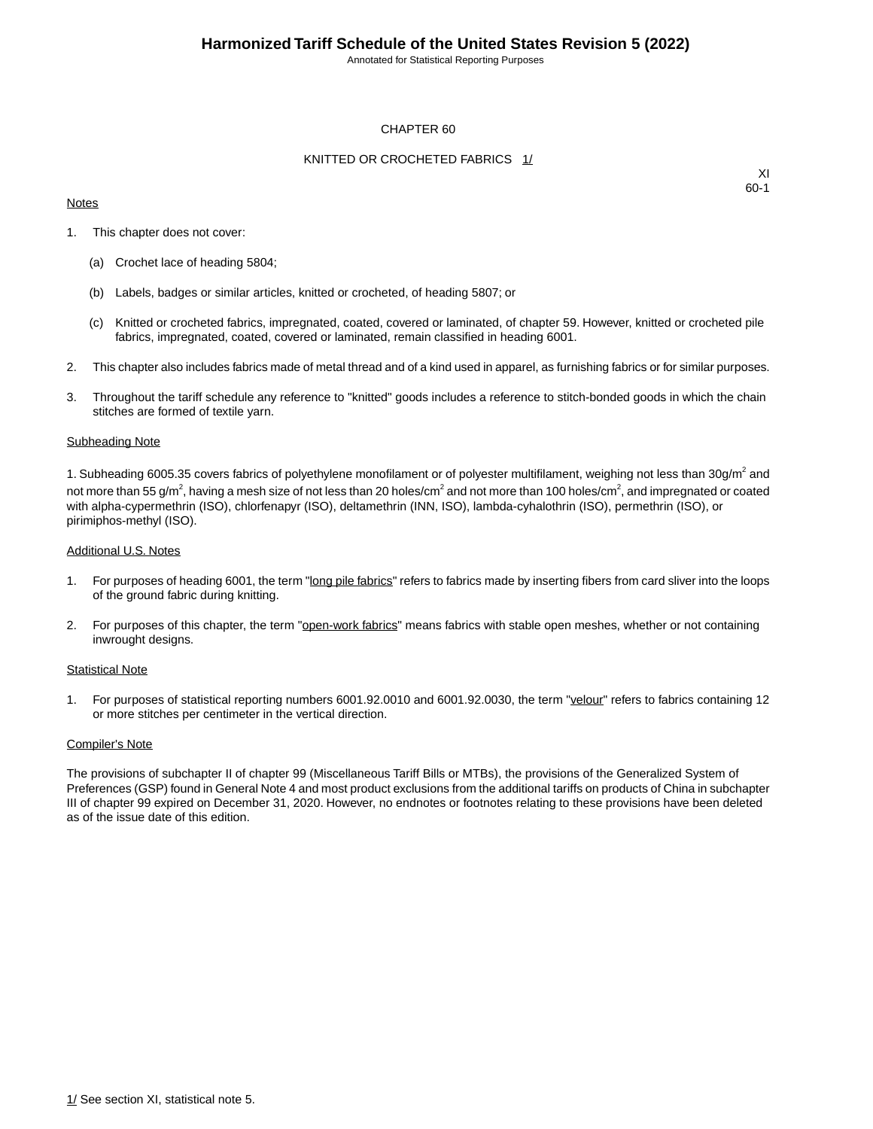Annotated for Statistical Reporting Purposes

### CHAPTER 60

### KNITTED OR CROCHETED FABRICS 1/

#### **Notes**

XI 60-1

- 1. This chapter does not cover:
	- (a) Crochet lace of heading 5804;
	- (b) Labels, badges or similar articles, knitted or crocheted, of heading 5807; or
	- (c) Knitted or crocheted fabrics, impregnated, coated, covered or laminated, of chapter 59. However, knitted or crocheted pile fabrics, impregnated, coated, covered or laminated, remain classified in heading 6001.
- 2. This chapter also includes fabrics made of metal thread and of a kind used in apparel, as furnishing fabrics or for similar purposes.
- 3. Throughout the tariff schedule any reference to "knitted" goods includes a reference to stitch-bonded goods in which the chain stitches are formed of textile yarn.

#### Subheading Note

1. Subheading 6005.35 covers fabrics of polyethylene monofilament or of polyester multifilament, weighing not less than 30g/m<sup>2</sup> and not more than 55 g/m $^2$ , having a mesh size of not less than 20 holes/cm $^2$  and not more than 100 holes/cm $^2$ , and impregnated or coated with alpha-cypermethrin (ISO), chlorfenapyr (ISO), deltamethrin (INN, ISO), lambda-cyhalothrin (ISO), permethrin (ISO), or pirimiphos-methyl (ISO).

#### Additional U.S. Notes

- 1. For purposes of heading 6001, the term "long pile fabrics" refers to fabrics made by inserting fibers from card sliver into the loops of the ground fabric during knitting.
- 2. For purposes of this chapter, the term "open-work fabrics" means fabrics with stable open meshes, whether or not containing inwrought designs.

#### Statistical Note

1. For purposes of statistical reporting numbers 6001.92.0010 and 6001.92.0030, the term "velour" refers to fabrics containing 12 or more stitches per centimeter in the vertical direction.

#### Compiler's Note

The provisions of subchapter II of chapter 99 (Miscellaneous Tariff Bills or MTBs), the provisions of the Generalized System of Preferences (GSP) found in General Note 4 and most product exclusions from the additional tariffs on products of China in subchapter III of chapter 99 expired on December 31, 2020. However, no endnotes or footnotes relating to these provisions have been deleted as of the issue date of this edition.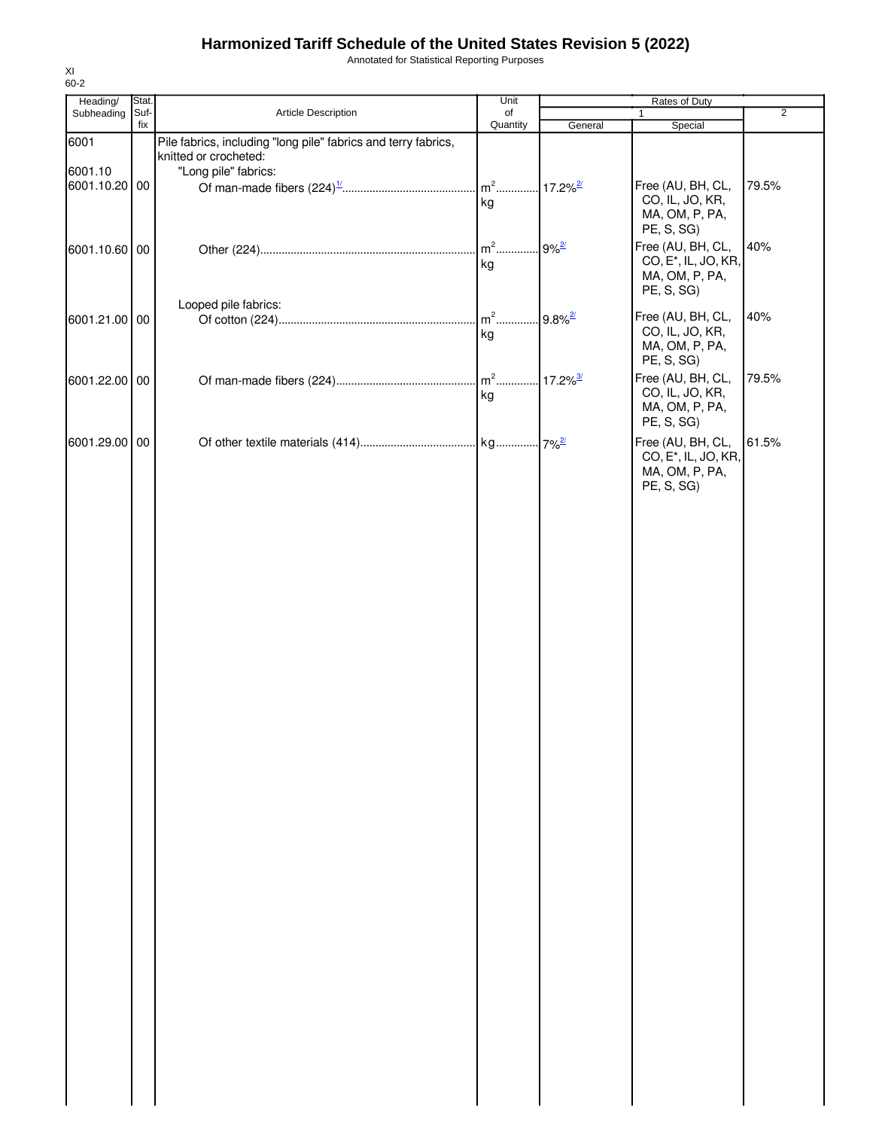Annotated for Statistical Reporting Purposes

| Heading/      | Stat.       |                                                                | Unit           |                        | Rates of Duty                    |                |
|---------------|-------------|----------------------------------------------------------------|----------------|------------------------|----------------------------------|----------------|
| Subheading    | Suf-<br>fix | Article Description                                            | of<br>Quantity |                        | $\mathbf{1}$                     | $\overline{2}$ |
| 6001          |             | Pile fabrics, including "long pile" fabrics and terry fabrics, |                | General                | Special                          |                |
|               |             | knitted or crocheted:                                          |                |                        |                                  |                |
| 6001.10       |             | "Long pile" fabrics:                                           |                |                        |                                  |                |
| 6001.10.20 00 |             |                                                                |                |                        | Free (AU, BH, CL,                | 79.5%          |
|               |             |                                                                | kg             |                        | CO, IL, JO, KR,                  |                |
|               |             |                                                                |                |                        | MA, OM, P, PA,                   |                |
|               |             |                                                                |                |                        | PE, S, SG)                       |                |
| 6001.10.60 00 |             |                                                                |                | $9%^{2/2}$             | Free (AU, BH, CL,                | 40%            |
|               |             |                                                                | kg             |                        | CO, E <sup>*</sup> , IL, JO, KR, |                |
|               |             |                                                                |                |                        | MA, OM, P, PA,                   |                |
|               |             |                                                                |                |                        | PE, S, SG)                       |                |
|               |             | Looped pile fabrics:                                           |                |                        |                                  |                |
| 6001.21.00 00 |             |                                                                | $m2$           | $9.8\%$ <sup>2/</sup>  | Free (AU, BH, CL,                | 40%            |
|               |             |                                                                | kg             |                        | CO, IL, JO, KR,                  |                |
|               |             |                                                                |                |                        | MA, OM, P, PA,                   |                |
|               |             |                                                                |                |                        | PE, S, SG)                       |                |
| 6001.22.00 00 |             |                                                                | $m2$           | $17.2\%$ <sup>3/</sup> | Free (AU, BH, CL,                | 79.5%          |
|               |             |                                                                | kg             |                        | CO, IL, JO, KR,                  |                |
|               |             |                                                                |                |                        | MA, OM, P, PA,                   |                |
|               |             |                                                                |                |                        | PE, S, SG)                       |                |
| 6001.29.00 00 |             |                                                                |                |                        | Free (AU, BH, CL,                | 61.5%          |
|               |             |                                                                |                |                        | CO, E <sup>*</sup> , IL, JO, KR, |                |
|               |             |                                                                |                |                        | MA, OM, P, PA,                   |                |
|               |             |                                                                |                |                        | PE, S, SG)                       |                |
|               |             |                                                                |                |                        |                                  |                |
|               |             |                                                                |                |                        |                                  |                |
|               |             |                                                                |                |                        |                                  |                |
|               |             |                                                                |                |                        |                                  |                |
|               |             |                                                                |                |                        |                                  |                |
|               |             |                                                                |                |                        |                                  |                |
|               |             |                                                                |                |                        |                                  |                |
|               |             |                                                                |                |                        |                                  |                |
|               |             |                                                                |                |                        |                                  |                |
|               |             |                                                                |                |                        |                                  |                |
|               |             |                                                                |                |                        |                                  |                |
|               |             |                                                                |                |                        |                                  |                |
|               |             |                                                                |                |                        |                                  |                |
|               |             |                                                                |                |                        |                                  |                |
|               |             |                                                                |                |                        |                                  |                |
|               |             |                                                                |                |                        |                                  |                |
|               |             |                                                                |                |                        |                                  |                |
|               |             |                                                                |                |                        |                                  |                |
|               |             |                                                                |                |                        |                                  |                |
|               |             |                                                                |                |                        |                                  |                |
|               |             |                                                                |                |                        |                                  |                |
|               |             |                                                                |                |                        |                                  |                |
|               |             |                                                                |                |                        |                                  |                |
|               |             |                                                                |                |                        |                                  |                |
|               |             |                                                                |                |                        |                                  |                |
|               |             |                                                                |                |                        |                                  |                |
|               |             |                                                                |                |                        |                                  |                |
|               |             |                                                                |                |                        |                                  |                |
|               |             |                                                                |                |                        |                                  |                |
|               |             |                                                                |                |                        |                                  |                |
|               |             |                                                                |                |                        |                                  |                |
|               |             |                                                                |                |                        |                                  |                |
|               |             |                                                                |                |                        |                                  |                |
|               |             |                                                                |                |                        |                                  |                |
|               |             |                                                                |                |                        |                                  |                |
|               |             |                                                                |                |                        |                                  |                |
|               |             |                                                                |                |                        |                                  |                |
|               |             |                                                                |                |                        |                                  |                |
|               |             |                                                                |                |                        |                                  |                |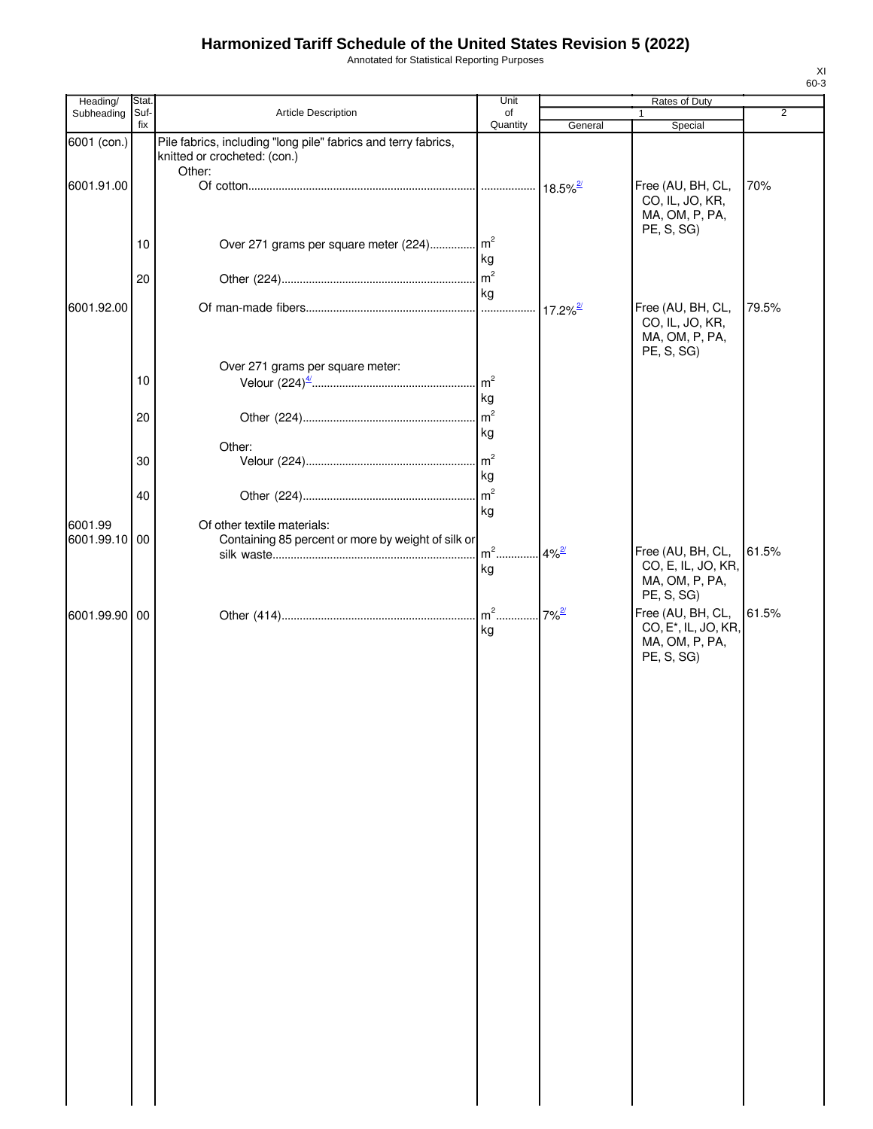Annotated for Statistical Reporting Purposes

| Heading/              | Stat.           |                                                                                                | Unit                 |                     | Rates of Duty                                                                         |                |
|-----------------------|-----------------|------------------------------------------------------------------------------------------------|----------------------|---------------------|---------------------------------------------------------------------------------------|----------------|
| Subheading            | Suf-<br>fix     | Article Description                                                                            | of<br>Quantity       | General             | Special                                                                               | $\overline{2}$ |
| 6001 (con.)           |                 | Pile fabrics, including "long pile" fabrics and terry fabrics,<br>knitted or crocheted: (con.) |                      |                     |                                                                                       |                |
| 6001.91.00            |                 | Other:                                                                                         |                      |                     | Free (AU, BH, CL,<br>CO, IL, JO, KR,<br>MA, OM, P, PA,<br>PE, S, SG)                  | 70%            |
|                       | 10              | Over 271 grams per square meter (224) m <sup>2</sup>                                           | kg                   |                     |                                                                                       |                |
|                       | 20              |                                                                                                | m <sup>2</sup><br>kg |                     |                                                                                       |                |
| 6001.92.00            |                 |                                                                                                |                      |                     | Free (AU, BH, CL,<br>CO, IL, JO, KR,<br>MA, OM, P, PA,<br>PE, S, SG)                  | 79.5%          |
|                       | 10              | Over 271 grams per square meter:                                                               | m <sup>2</sup><br>kg |                     |                                                                                       |                |
|                       | 20              |                                                                                                | m <sup>2</sup><br>kg |                     |                                                                                       |                |
|                       | 30              | Other:                                                                                         | m <sup>2</sup><br>kg |                     |                                                                                       |                |
|                       | 40              |                                                                                                | m <sup>2</sup><br>kg |                     |                                                                                       |                |
| 6001.99<br>6001.99.10 | $\overline{00}$ | Of other textile materials:<br>Containing 85 percent or more by weight of silk or              | $m2$ .<br>kg         | $4\%$ <sup>2/</sup> | Free (AU, BH, CL,<br>CO, E, IL, JO, KR,                                               | 61.5%          |
|                       |                 |                                                                                                |                      |                     | MA, OM, P, PA,<br>PE, S, SG)                                                          | 61.5%          |
| 6001.99.90 00         |                 |                                                                                                | kg                   | $7\%$ <sup>2/</sup> | Free (AU, BH, CL,<br>CO, E <sup>*</sup> , IL, JO, KR,<br>MA, OM, P, PA,<br>PE, S, SG) |                |
|                       |                 |                                                                                                |                      |                     |                                                                                       |                |
|                       |                 |                                                                                                |                      |                     |                                                                                       |                |
|                       |                 |                                                                                                |                      |                     |                                                                                       |                |
|                       |                 |                                                                                                |                      |                     |                                                                                       |                |
|                       |                 |                                                                                                |                      |                     |                                                                                       |                |
|                       |                 |                                                                                                |                      |                     |                                                                                       |                |
|                       |                 |                                                                                                |                      |                     |                                                                                       |                |
|                       |                 |                                                                                                |                      |                     |                                                                                       |                |
|                       |                 |                                                                                                |                      |                     |                                                                                       |                |
|                       |                 |                                                                                                |                      |                     |                                                                                       |                |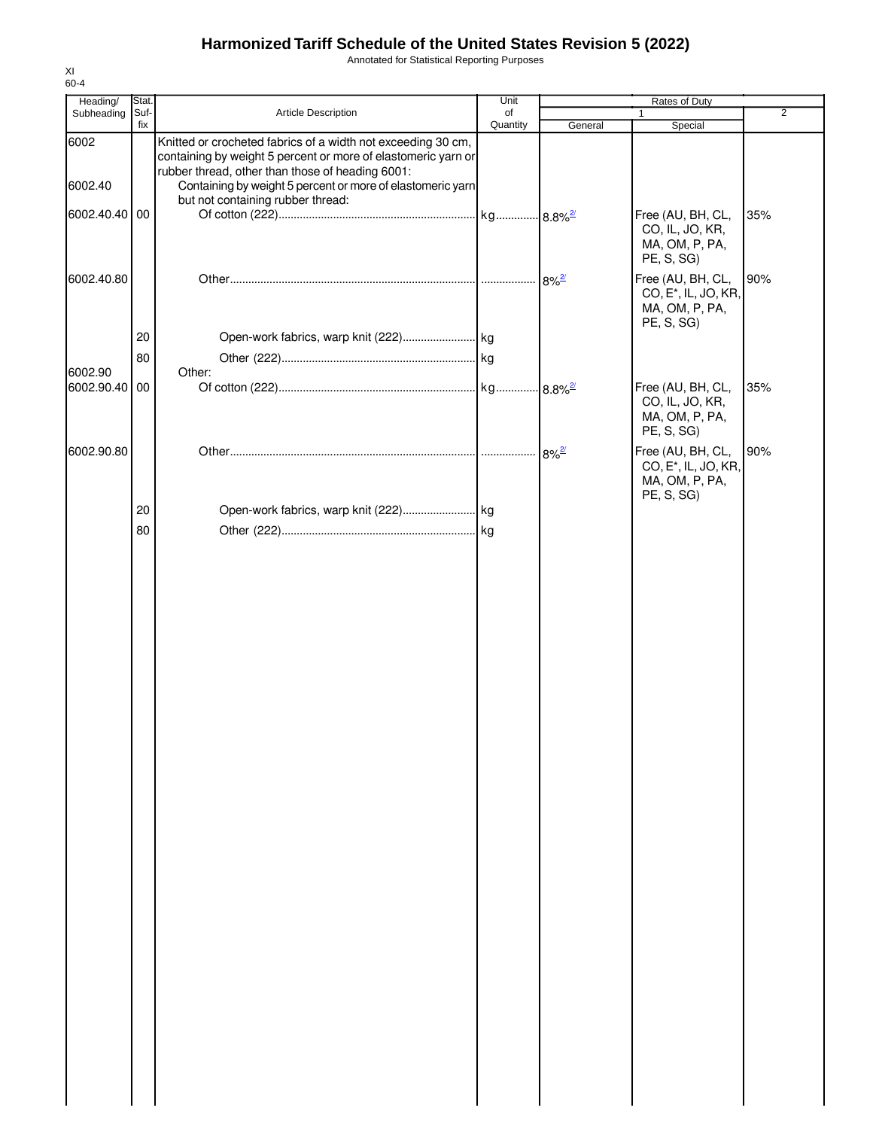Annotated for Statistical Reporting Purposes

| Heading/      | Stat.       |                                                                                                                   | Unit           |                     | Rates of Duty                    |                |
|---------------|-------------|-------------------------------------------------------------------------------------------------------------------|----------------|---------------------|----------------------------------|----------------|
| Subheading    | Suf-<br>fix | Article Description                                                                                               | of<br>Quantity | General             | 1                                | $\overline{2}$ |
|               |             |                                                                                                                   |                |                     | Special                          |                |
| 6002          |             | Knitted or crocheted fabrics of a width not exceeding 30 cm,                                                      |                |                     |                                  |                |
|               |             | containing by weight 5 percent or more of elastomeric yarn or<br>rubber thread, other than those of heading 6001: |                |                     |                                  |                |
| 6002.40       |             | Containing by weight 5 percent or more of elastomeric yarn                                                        |                |                     |                                  |                |
|               |             | but not containing rubber thread:                                                                                 |                |                     |                                  |                |
| 6002.40.40 00 |             |                                                                                                                   |                |                     | Free (AU, BH, CL,                | 35%            |
|               |             |                                                                                                                   |                |                     | CO, IL, JO, KR,                  |                |
|               |             |                                                                                                                   |                |                     | MA, OM, P, PA,                   |                |
|               |             |                                                                                                                   |                |                     | PE, S, SG)                       |                |
|               |             |                                                                                                                   |                |                     |                                  |                |
| 6002.40.80    |             |                                                                                                                   |                | $8\%$ <sup>2/</sup> | Free (AU, BH, CL,                | 90%            |
|               |             |                                                                                                                   |                |                     | CO, E <sup>*</sup> , IL, JO, KR, |                |
|               |             |                                                                                                                   |                |                     | MA, OM, P, PA,                   |                |
|               |             |                                                                                                                   |                |                     | PE, S, SG)                       |                |
|               | 20          |                                                                                                                   |                |                     |                                  |                |
|               | 80          |                                                                                                                   |                |                     |                                  |                |
| 6002.90       |             | Other:                                                                                                            |                |                     |                                  |                |
| 6002.90.40 00 |             |                                                                                                                   |                |                     | Free (AU, BH, CL,                | 35%            |
|               |             |                                                                                                                   |                |                     | CO, IL, JO, KR,                  |                |
|               |             |                                                                                                                   |                |                     | MA, OM, P, PA,                   |                |
|               |             |                                                                                                                   |                |                     | PE, S, SG)                       |                |
|               |             |                                                                                                                   |                |                     |                                  |                |
| 6002.90.80    |             |                                                                                                                   |                | $8\%^{2/2}$         | Free (AU, BH, CL,                | 90%            |
|               |             |                                                                                                                   |                |                     | CO, E <sup>*</sup> , IL, JO, KR, |                |
|               |             |                                                                                                                   |                |                     | MA, OM, P, PA,                   |                |
|               |             |                                                                                                                   |                |                     | PE, S, SG)                       |                |
|               | 20          | Open-work fabrics, warp knit (222) kg                                                                             |                |                     |                                  |                |
|               | 80          |                                                                                                                   |                |                     |                                  |                |
|               |             |                                                                                                                   |                |                     |                                  |                |
|               |             |                                                                                                                   |                |                     |                                  |                |
|               |             |                                                                                                                   |                |                     |                                  |                |
|               |             |                                                                                                                   |                |                     |                                  |                |
|               |             |                                                                                                                   |                |                     |                                  |                |
|               |             |                                                                                                                   |                |                     |                                  |                |
|               |             |                                                                                                                   |                |                     |                                  |                |
|               |             |                                                                                                                   |                |                     |                                  |                |
|               |             |                                                                                                                   |                |                     |                                  |                |
|               |             |                                                                                                                   |                |                     |                                  |                |
|               |             |                                                                                                                   |                |                     |                                  |                |
|               |             |                                                                                                                   |                |                     |                                  |                |
|               |             |                                                                                                                   |                |                     |                                  |                |
|               |             |                                                                                                                   |                |                     |                                  |                |
|               |             |                                                                                                                   |                |                     |                                  |                |
|               |             |                                                                                                                   |                |                     |                                  |                |
|               |             |                                                                                                                   |                |                     |                                  |                |
|               |             |                                                                                                                   |                |                     |                                  |                |
|               |             |                                                                                                                   |                |                     |                                  |                |
|               |             |                                                                                                                   |                |                     |                                  |                |
|               |             |                                                                                                                   |                |                     |                                  |                |
|               |             |                                                                                                                   |                |                     |                                  |                |
|               |             |                                                                                                                   |                |                     |                                  |                |
|               |             |                                                                                                                   |                |                     |                                  |                |
|               |             |                                                                                                                   |                |                     |                                  |                |
|               |             |                                                                                                                   |                |                     |                                  |                |
|               |             |                                                                                                                   |                |                     |                                  |                |
|               |             |                                                                                                                   |                |                     |                                  |                |
|               |             |                                                                                                                   |                |                     |                                  |                |
|               |             |                                                                                                                   |                |                     |                                  |                |
|               |             |                                                                                                                   |                |                     |                                  |                |
|               |             |                                                                                                                   |                |                     |                                  |                |
|               |             |                                                                                                                   |                |                     |                                  |                |
|               |             |                                                                                                                   |                |                     |                                  |                |
|               |             |                                                                                                                   |                |                     |                                  |                |
|               |             |                                                                                                                   |                |                     |                                  |                |
|               |             |                                                                                                                   |                |                     |                                  |                |
|               |             |                                                                                                                   |                |                     |                                  |                |
|               |             |                                                                                                                   |                |                     |                                  |                |
|               |             |                                                                                                                   |                |                     |                                  |                |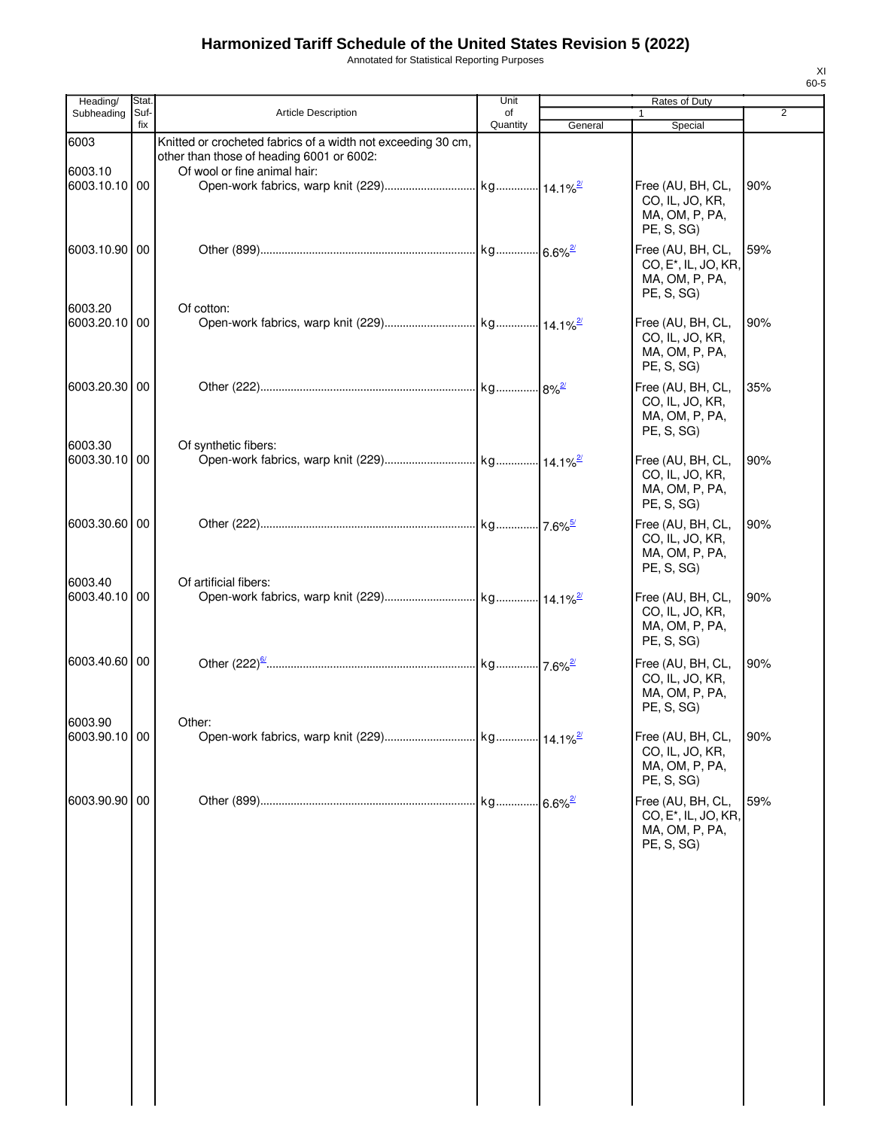Annotated for Statistical Reporting Purposes

| Heading/                 | Stat.       |                                                                                                                                           | Unit           |         | Rates of Duty                                                                         |     |
|--------------------------|-------------|-------------------------------------------------------------------------------------------------------------------------------------------|----------------|---------|---------------------------------------------------------------------------------------|-----|
| Subheading               | Suf-<br>fix | <b>Article Description</b>                                                                                                                | of<br>Quantity | General | $\mathbf{1}$<br>Special                                                               | 2   |
| 6003<br>6003.10          |             | Knitted or crocheted fabrics of a width not exceeding 30 cm,<br>other than those of heading 6001 or 6002:<br>Of wool or fine animal hair: |                |         |                                                                                       |     |
| 6003.10.10 00            |             |                                                                                                                                           |                |         | Free (AU, BH, CL,<br>CO, IL, JO, KR,<br>MA, OM, P, PA,<br>PE, S, SG)                  | 90% |
| 6003.10.90 00            |             |                                                                                                                                           |                |         | Free (AU, BH, CL,<br>CO, E <sup>*</sup> , IL, JO, KR,<br>MA, OM, P, PA,<br>PE, S, SG) | 59% |
| 6003.20<br>6003.20.10 00 |             | Of cotton:                                                                                                                                |                |         | Free (AU, BH, CL,<br>CO, IL, JO, KR,<br>MA, OM, P, PA,<br>PE, S, SG)                  | 90% |
| 6003.20.30 00            |             |                                                                                                                                           |                |         | Free (AU, BH, CL,<br>CO, IL, JO, KR,<br>MA, OM, P, PA,<br>PE, S, SG)                  | 35% |
| 6003.30<br>6003.30.10 00 |             | Of synthetic fibers:                                                                                                                      |                |         | Free (AU, BH, CL,<br>CO, IL, JO, KR,<br>MA, OM, P, PA,<br>PE, S, SG)                  | 90% |
| 6003.30.60 00            |             |                                                                                                                                           |                |         | Free (AU, BH, CL,<br>CO, IL, JO, KR,<br>MA, OM, P, PA,<br>PE, S, SG)                  | 90% |
| 6003.40<br>6003.40.10    | 00          | Of artificial fibers:                                                                                                                     |                |         | Free (AU, BH, CL,<br>CO, IL, JO, KR,<br>MA, OM, P, PA,<br>PE, S, SG)                  | 90% |
| 6003.40.60 00            |             |                                                                                                                                           |                |         | Free (AU, BH, CL,<br>CO, IL, JO, KR,<br>MA, OM, P, PA,<br>PE, S, SG)                  | 90% |
| 6003.90<br>6003.90.10 00 |             | Other:                                                                                                                                    |                |         | Free (AU, BH, CL,<br>CO, IL, JO, KR,<br>MA, OM, P, PA,<br>PE, S, SG)                  | 90% |
| 6003.90.90 00            |             |                                                                                                                                           |                |         | Free (AU, BH, CL,<br>CO, E <sup>*</sup> , IL, JO, KR,<br>MA, OM, P, PA,<br>PE, S, SG) | 59% |
|                          |             |                                                                                                                                           |                |         |                                                                                       |     |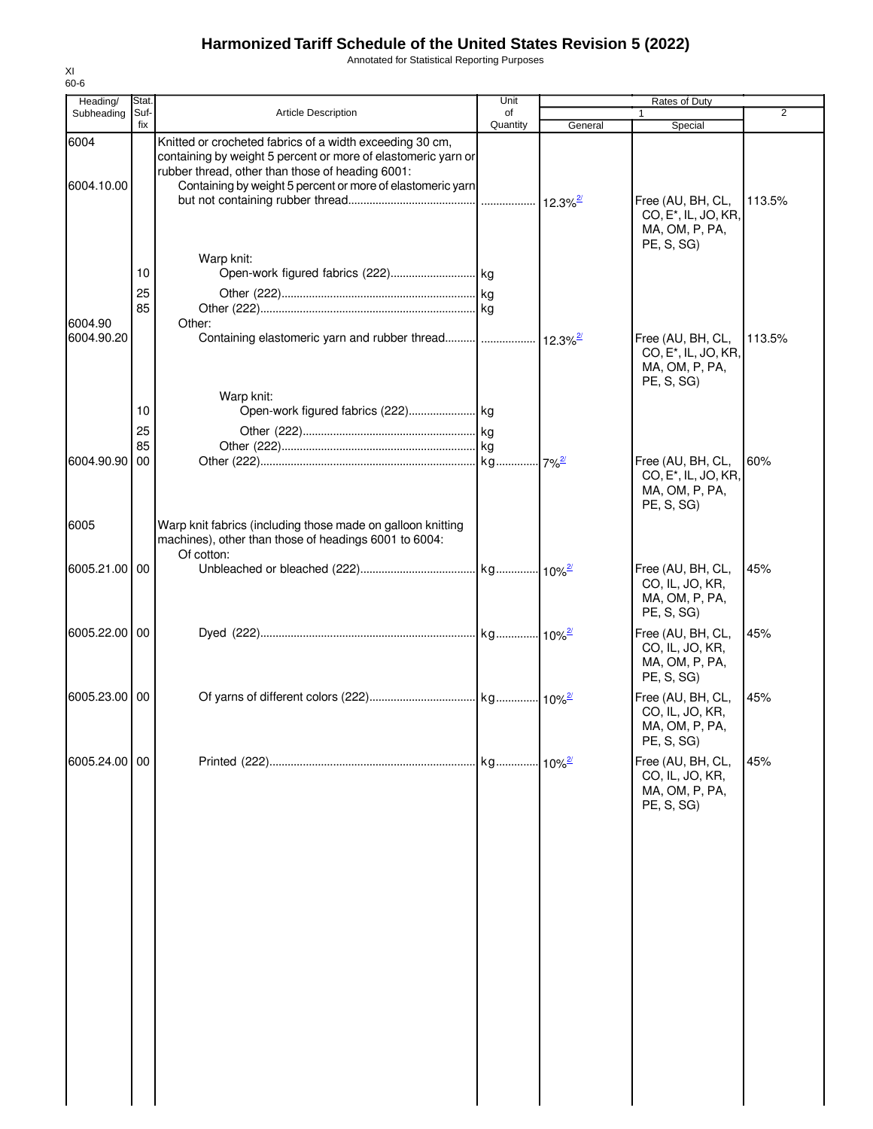Annotated for Statistical Reporting Purposes

| Heading/              | Stat.       |                                                                                                                                    | Unit           |         | Rates of Duty                                                                         |                |
|-----------------------|-------------|------------------------------------------------------------------------------------------------------------------------------------|----------------|---------|---------------------------------------------------------------------------------------|----------------|
| Subheading            | Suf-<br>fix | <b>Article Description</b>                                                                                                         | of<br>Quantity | General | Special                                                                               | $\overline{2}$ |
| 6004                  |             | Knitted or crocheted fabrics of a width exceeding 30 cm,<br>containing by weight 5 percent or more of elastomeric yarn or          |                |         |                                                                                       |                |
| 6004.10.00            |             | rubber thread, other than those of heading 6001:<br>Containing by weight 5 percent or more of elastomeric yarn                     |                |         | Free (AU, BH, CL,<br>CO, E <sup>*</sup> , IL, JO, KR,<br>MA, OM, P, PA,               | 113.5%         |
|                       | 10          | Warp knit:                                                                                                                         |                |         | PE, S, SG)                                                                            |                |
| 6004.90<br>6004.90.20 | 25<br>85    | Other:<br>Containing elastomeric yarn and rubber thread      12.3% <sup>2</sup>                                                    |                |         | Free (AU, BH, CL,                                                                     | 113.5%         |
|                       |             |                                                                                                                                    |                |         | CO, E <sup>*</sup> , IL, JO, KR,<br>MA, OM, P, PA,<br>PE, S, SG)                      |                |
|                       | 10<br>25    | Warp knit:                                                                                                                         |                |         |                                                                                       |                |
|                       | 85          |                                                                                                                                    |                |         |                                                                                       |                |
| 6004.90.90            | 00          |                                                                                                                                    |                |         | Free (AU, BH, CL,<br>CO, E <sup>*</sup> , IL, JO, KR,<br>MA, OM, P, PA,<br>PE, S, SG) | 60%            |
| 6005                  |             | Warp knit fabrics (including those made on galloon knitting<br>machines), other than those of headings 6001 to 6004:<br>Of cotton: |                |         |                                                                                       |                |
| 6005.21.00 00         |             |                                                                                                                                    |                |         | Free (AU, BH, CL,<br>CO, IL, JO, KR,<br>MA, OM, P, PA,<br>PE, S, SG)                  | 45%            |
| 6005.22.00 00         |             |                                                                                                                                    |                |         | Free (AU, BH, CL,<br>CO, IL, JO, KR,<br>MA, OM, P, PA,<br>PE, S, SG)                  | 45%            |
| 6005.23.00 00         |             |                                                                                                                                    |                |         | Free (AU, BH, CL,<br>CO, IL, JO, KR,<br>MA, OM, P, PA,<br>PE, S, SG)                  | 45%            |
| 6005.24.00 00         |             |                                                                                                                                    |                |         | Free (AU, BH, CL,<br>CO, IL, JO, KR,<br>MA, OM, P, PA,<br>PE, S, SG                   | 45%            |
|                       |             |                                                                                                                                    |                |         |                                                                                       |                |
|                       |             |                                                                                                                                    |                |         |                                                                                       |                |
|                       |             |                                                                                                                                    |                |         |                                                                                       |                |
|                       |             |                                                                                                                                    |                |         |                                                                                       |                |
|                       |             |                                                                                                                                    |                |         |                                                                                       |                |
|                       |             |                                                                                                                                    |                |         |                                                                                       |                |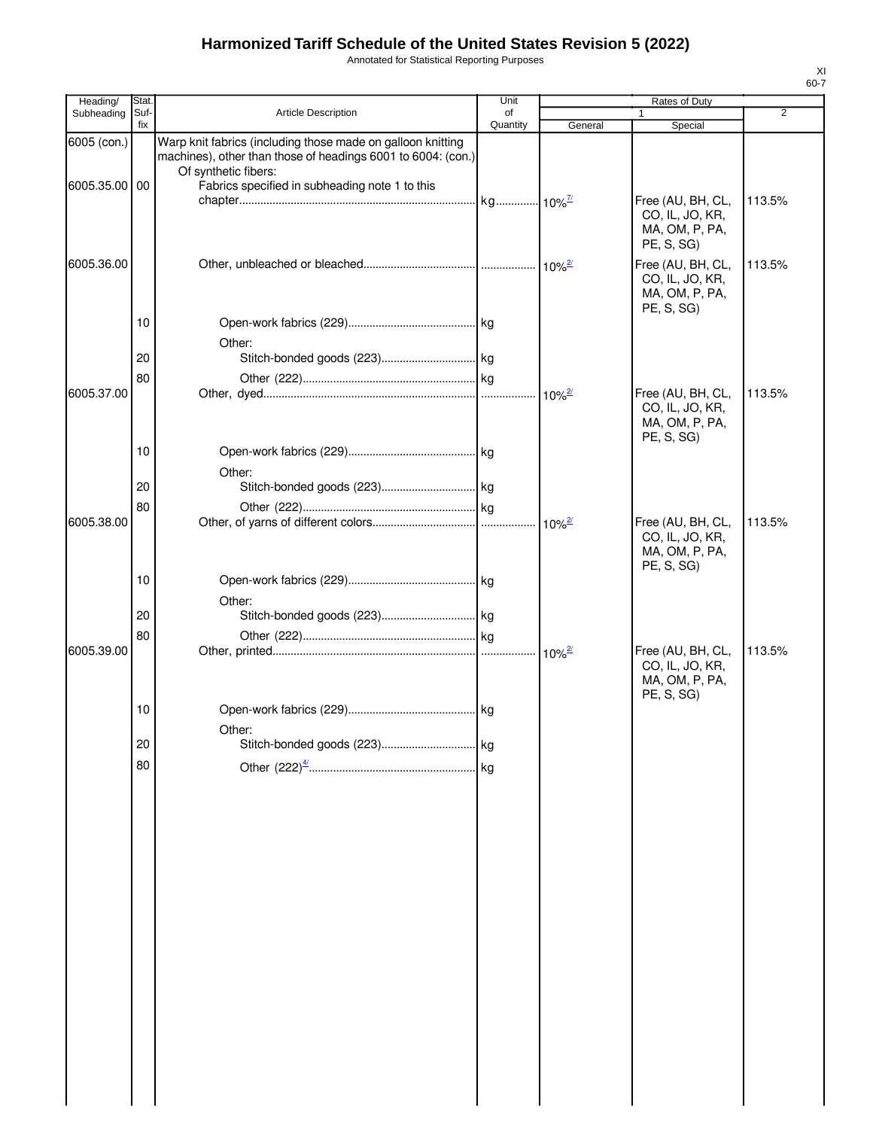Annotated for Statistical Reporting Purposes

| Heading/                     | Stat.       |                                                                                                                                                                                                       | Unit           |                      | Rates of Duty                                                                      |        |
|------------------------------|-------------|-------------------------------------------------------------------------------------------------------------------------------------------------------------------------------------------------------|----------------|----------------------|------------------------------------------------------------------------------------|--------|
| Subheading                   | Suf-<br>fix | <b>Article Description</b>                                                                                                                                                                            | of<br>Quantity | General              | 1<br>Special                                                                       | 2      |
| 6005 (con.)<br>6005.35.00 00 |             | Warp knit fabrics (including those made on galloon knitting<br>machines), other than those of headings 6001 to 6004: (con.)<br>Of synthetic fibers:<br>Fabrics specified in subheading note 1 to this |                |                      | Free (AU, BH, CL,<br>CO, IL, JO, KR,<br>MA, OM, P, PA,                             | 113.5% |
| 6005.36.00                   |             |                                                                                                                                                                                                       |                |                      | PE, S, SG)<br>Free (AU, BH, CL,<br>CO, IL, JO, KR,<br>MA, OM, P, PA,<br>PE, S, SG) | 113.5% |
|                              | 10          | Other:                                                                                                                                                                                                |                |                      |                                                                                    |        |
|                              | 20          |                                                                                                                                                                                                       |                |                      |                                                                                    |        |
|                              | 80          |                                                                                                                                                                                                       |                |                      |                                                                                    |        |
| 6005.37.00                   |             |                                                                                                                                                                                                       |                | $10\%$ <sup>2/</sup> | Free (AU, BH, CL,<br>CO, IL, JO, KR,<br>MA, OM, P, PA,<br>PE, S, SG)               | 113.5% |
|                              | 10          | Other:                                                                                                                                                                                                |                |                      |                                                                                    |        |
|                              | 20          |                                                                                                                                                                                                       |                |                      |                                                                                    |        |
|                              | 80          |                                                                                                                                                                                                       |                |                      |                                                                                    |        |
| 6005.38.00                   |             |                                                                                                                                                                                                       |                |                      | Free (AU, BH, CL,<br>CO, IL, JO, KR,<br>MA, OM, P, PA,<br>PE, S, SG)               | 113.5% |
|                              | 10          |                                                                                                                                                                                                       |                |                      |                                                                                    |        |
|                              | 20          | Other:                                                                                                                                                                                                |                |                      |                                                                                    |        |
|                              | 80          |                                                                                                                                                                                                       |                |                      |                                                                                    |        |
| 6005.39.00                   |             |                                                                                                                                                                                                       |                |                      | Free (AU, BH, CL,<br>CO, IL, JO, KR,<br>MA, OM, P, PA,<br>PE, S, SG)               | 113.5% |
|                              | 10          |                                                                                                                                                                                                       |                |                      |                                                                                    |        |
|                              | 20          | Other:                                                                                                                                                                                                |                |                      |                                                                                    |        |
|                              |             |                                                                                                                                                                                                       |                |                      |                                                                                    |        |
|                              | 80          |                                                                                                                                                                                                       |                |                      |                                                                                    |        |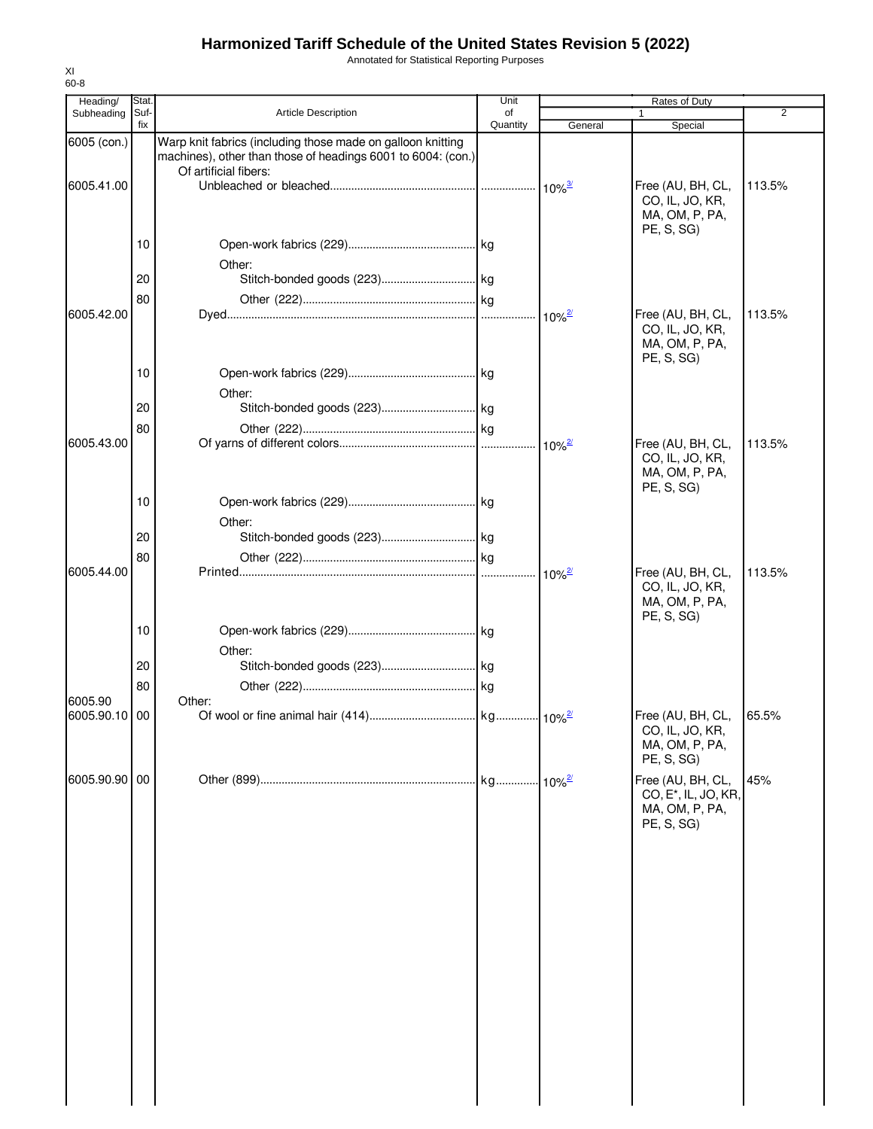Annotated for Statistical Reporting Purposes

| Heading/      | Stat.       |                                                                                                                             | Unit           |                            | Rates of Duty                                                                         |                |
|---------------|-------------|-----------------------------------------------------------------------------------------------------------------------------|----------------|----------------------------|---------------------------------------------------------------------------------------|----------------|
| Subheading    | Suf-<br>fix | <b>Article Description</b>                                                                                                  | of<br>Quantity | General                    | 1                                                                                     | $\overline{2}$ |
| 6005 (con.)   |             | Warp knit fabrics (including those made on galloon knitting<br>machines), other than those of headings 6001 to 6004: (con.) |                |                            | Special                                                                               |                |
| 6005.41.00    |             | Of artificial fibers:                                                                                                       |                |                            | Free (AU, BH, CL,<br>CO, IL, JO, KR,<br>MA, OM, P, PA,<br>PE, S, SG                   | 113.5%         |
|               | 10          | Other:                                                                                                                      |                |                            |                                                                                       |                |
|               | 20          |                                                                                                                             |                |                            |                                                                                       |                |
| 6005.42.00    | 80          |                                                                                                                             |                | $10\%$ <sup>2/</sup>       | Free (AU, BH, CL,<br>CO, IL, JO, KR,<br>MA, OM, P, PA,<br>PE, S, SG)                  | 113.5%         |
|               | 10          | Other:                                                                                                                      |                |                            |                                                                                       |                |
|               | 20          |                                                                                                                             |                |                            |                                                                                       |                |
| 6005.43.00    | 80          |                                                                                                                             |                | $10\%$ <sup>2/</sup>       | Free (AU, BH, CL,<br>CO, IL, JO, KR,<br>MA, OM, P, PA,                                | 113.5%         |
|               | 10          | Other:                                                                                                                      |                |                            | PE, S, SG)                                                                            |                |
|               | 20          |                                                                                                                             |                |                            |                                                                                       |                |
| 6005.44.00    | 80          |                                                                                                                             |                |                            | Free (AU, BH, CL,                                                                     | 113.5%         |
|               |             |                                                                                                                             |                | $10\%$ <sup>2/</sup>       | CO, IL, JO, KR,<br>MA, OM, P, PA,<br>PE, S, SG                                        |                |
|               | 10          | Other:                                                                                                                      |                |                            |                                                                                       |                |
|               | 20<br>80    |                                                                                                                             |                |                            |                                                                                       |                |
| 6005.90       |             | Other:                                                                                                                      |                |                            |                                                                                       |                |
| 6005.90.10 00 |             |                                                                                                                             |                |                            | Free (AU, BH, CL,<br>CO, IL, JO, KR,<br>MA, OM, P, PA,<br>PE, S, SG)                  | 65.5%          |
| 6005.90.90 00 |             |                                                                                                                             |                | $\cdot$ 10% $\frac{27}{2}$ | Free (AU, BH, CL,<br>CO, E <sup>*</sup> , IL, JO, KR,<br>MA, OM, P, PA,<br>PE, S, SG) | 45%            |
|               |             |                                                                                                                             |                |                            |                                                                                       |                |
|               |             |                                                                                                                             |                |                            |                                                                                       |                |
|               |             |                                                                                                                             |                |                            |                                                                                       |                |
|               |             |                                                                                                                             |                |                            |                                                                                       |                |
|               |             |                                                                                                                             |                |                            |                                                                                       |                |
|               |             |                                                                                                                             |                |                            |                                                                                       |                |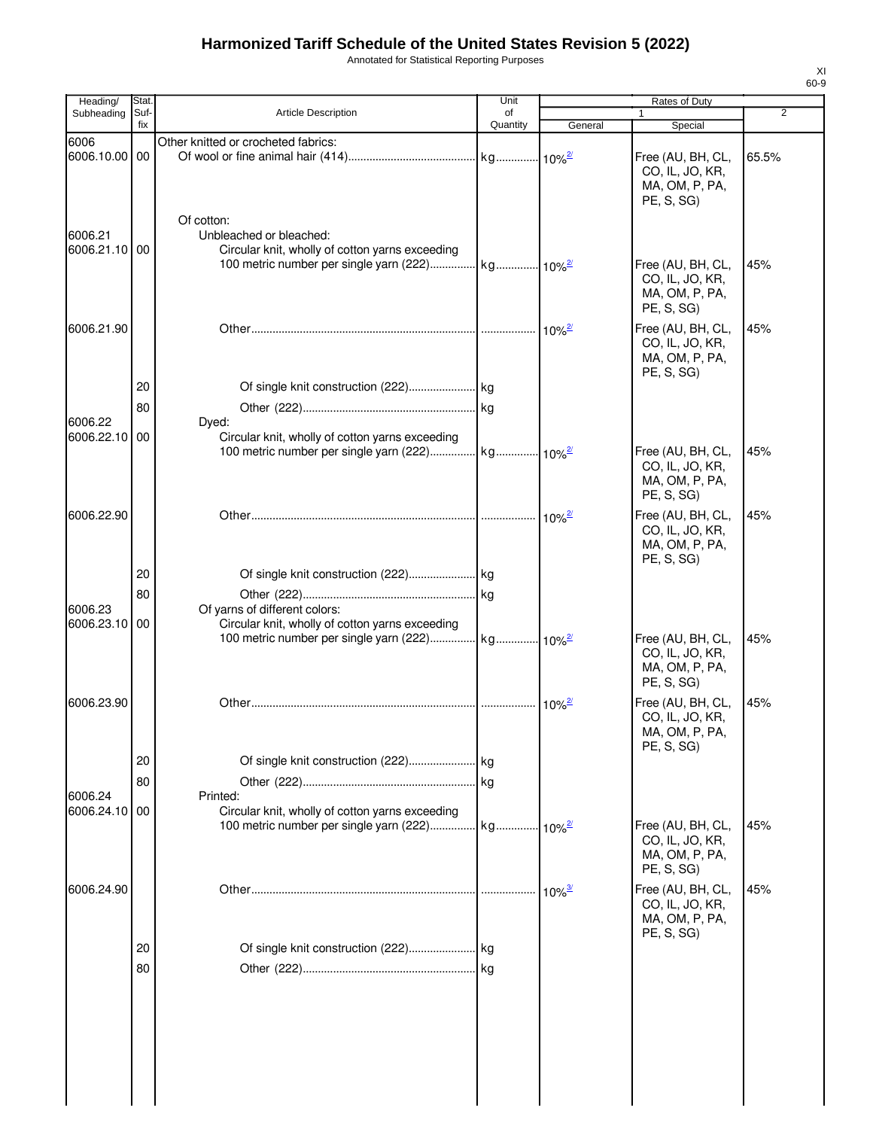Annotated for Statistical Reporting Purposes

| Heading/                 | Stat.       |                                                                                  | Unit           |                      | Rates of Duty                                                        |                |
|--------------------------|-------------|----------------------------------------------------------------------------------|----------------|----------------------|----------------------------------------------------------------------|----------------|
| Subheading               | Suf-<br>fix | Article Description                                                              | of<br>Quantity | General              | 1<br>Special                                                         | $\overline{2}$ |
| 6006                     |             | Other knitted or crocheted fabrics:                                              |                |                      |                                                                      |                |
| 6006.10.00 00            |             | Of cotton:                                                                       |                |                      | Free (AU, BH, CL,<br>CO, IL, JO, KR,<br>MA, OM, P, PA,<br>PE, S, SG) | 65.5%          |
| 6006.21<br>6006.21.10 00 |             | Unbleached or bleached:<br>Circular knit, wholly of cotton yarns exceeding       |                |                      | Free (AU, BH, CL,                                                    | 45%            |
|                          |             |                                                                                  |                |                      | CO, IL, JO, KR,<br>MA, OM, P, PA,<br>PE, S, SG)                      |                |
| 6006.21.90               |             |                                                                                  |                | $10\%$ <sup>2/</sup> | Free (AU, BH, CL,<br>CO, IL, JO, KR,<br>MA, OM, P, PA,<br>PE, S, SG) | 45%            |
|                          | 20          |                                                                                  |                |                      |                                                                      |                |
|                          | 80          |                                                                                  |                |                      |                                                                      |                |
| 6006.22                  |             | Dyed:                                                                            |                |                      |                                                                      |                |
| 6006.22.10 00            |             | Circular knit, wholly of cotton yarns exceeding                                  |                |                      | Free (AU, BH, CL,<br>CO, IL, JO, KR,<br>MA, OM, P, PA,<br>PE, S, SG) | 45%            |
| 6006.22.90               |             |                                                                                  |                | $10\%$ <sup>2/</sup> | Free (AU, BH, CL,<br>CO, IL, JO, KR,<br>MA, OM, P, PA,<br>PE, S, SG) | 45%            |
|                          | 20          |                                                                                  |                |                      |                                                                      |                |
|                          | 80          |                                                                                  |                |                      |                                                                      |                |
| 6006.23<br>6006.23.10 00 |             | Of yarns of different colors:<br>Circular knit, wholly of cotton yarns exceeding |                |                      | Free (AU, BH, CL,<br>CO, IL, JO, KR,                                 | 45%            |
|                          |             |                                                                                  |                |                      | MA, OM, P, PA,<br>PE, S, SG)                                         |                |
| 6006.23.90               |             |                                                                                  |                | $10\%$ <sup>2/</sup> | Free (AU, BH, CL,<br>CO, IL, JO, KR,<br>MA, OM, P, PA,<br>PE, S, SG) | 45%            |
|                          | 20          |                                                                                  |                |                      |                                                                      |                |
|                          | 80          |                                                                                  |                |                      |                                                                      |                |
| 6006.24<br>6006.24.10    | 00          | Printed:<br>Circular knit, wholly of cotton yarns exceeding                      |                |                      |                                                                      |                |
|                          |             |                                                                                  |                |                      | Free (AU, BH, CL,<br>CO, IL, JO, KR,<br>MA, OM, P, PA,<br>PE, S, SG) | 45%            |
| 6006.24.90               |             |                                                                                  |                |                      | Free (AU, BH, CL,<br>CO, IL, JO, KR,<br>MA, OM, P, PA,<br>PE, S, SG) | 45%            |
|                          | 20          |                                                                                  |                |                      |                                                                      |                |
|                          | 80          |                                                                                  |                |                      |                                                                      |                |
|                          |             |                                                                                  |                |                      |                                                                      |                |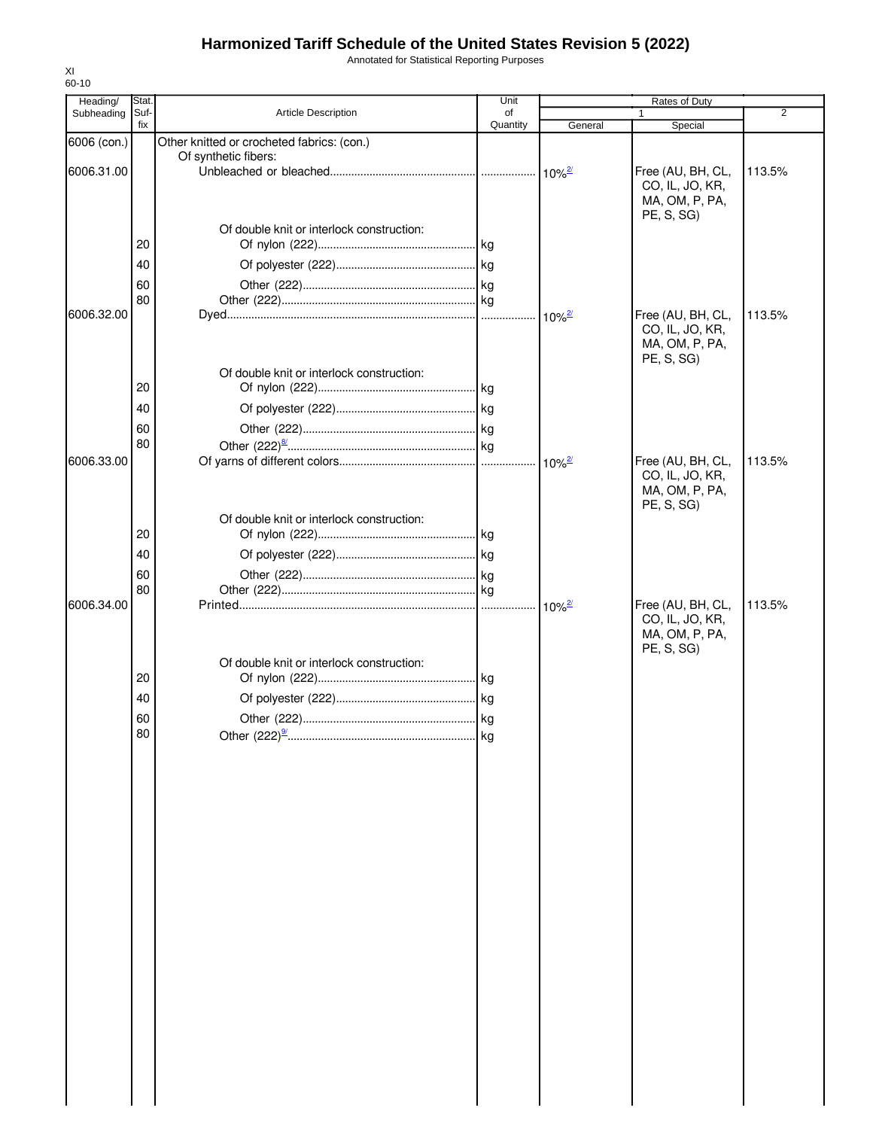Annotated for Statistical Reporting Purposes

| Heading/    | Stat.                |                                            | Unit           |         | Rates of Duty                                                        |                |
|-------------|----------------------|--------------------------------------------|----------------|---------|----------------------------------------------------------------------|----------------|
| Subheading  | Suf-<br>fix          | Article Description                        | of<br>Quantity | General | Special                                                              | $\overline{2}$ |
| 6006 (con.) |                      | Other knitted or crocheted fabrics: (con.) |                |         |                                                                      |                |
|             |                      | Of synthetic fibers:                       |                |         |                                                                      |                |
| 6006.31.00  |                      |                                            |                |         | Free (AU, BH, CL,<br>CO, IL, JO, KR,<br>MA, OM, P, PA,<br>PE, S, SG) | 113.5%         |
|             |                      | Of double knit or interlock construction:  |                |         |                                                                      |                |
|             | 20                   |                                            |                |         |                                                                      |                |
|             | 40                   |                                            |                |         |                                                                      |                |
|             | 60                   |                                            |                |         |                                                                      |                |
|             | 80                   |                                            |                |         |                                                                      |                |
| 6006.32.00  |                      |                                            |                |         | Free (AU, BH, CL,<br>CO, IL, JO, KR,<br>MA, OM, P, PA,<br>PE, S, SG) | 113.5%         |
|             |                      | Of double knit or interlock construction:  |                |         |                                                                      |                |
|             | 20                   |                                            |                |         |                                                                      |                |
|             | 40                   |                                            |                |         |                                                                      |                |
|             | 60                   |                                            |                |         |                                                                      |                |
|             | 80                   |                                            |                |         |                                                                      |                |
| 6006.33.00  |                      |                                            |                |         | Free (AU, BH, CL,<br>CO, IL, JO, KR,<br>MA, OM, P, PA,<br>PE, S, SG) | 113.5%         |
|             | 20                   | Of double knit or interlock construction:  |                |         |                                                                      |                |
|             |                      |                                            |                |         |                                                                      |                |
|             | 40                   |                                            |                |         |                                                                      |                |
|             | 60                   |                                            |                |         |                                                                      |                |
| 6006.34.00  | 80                   |                                            |                |         | Free (AU, BH, CL,                                                    | 113.5%         |
|             | 20<br>40<br>60<br>80 | Of double knit or interlock construction:  |                |         | CO, IL, JO, KR,<br>MA, OM, P, PA,<br>PE, S, SG)                      |                |
|             |                      |                                            |                |         |                                                                      |                |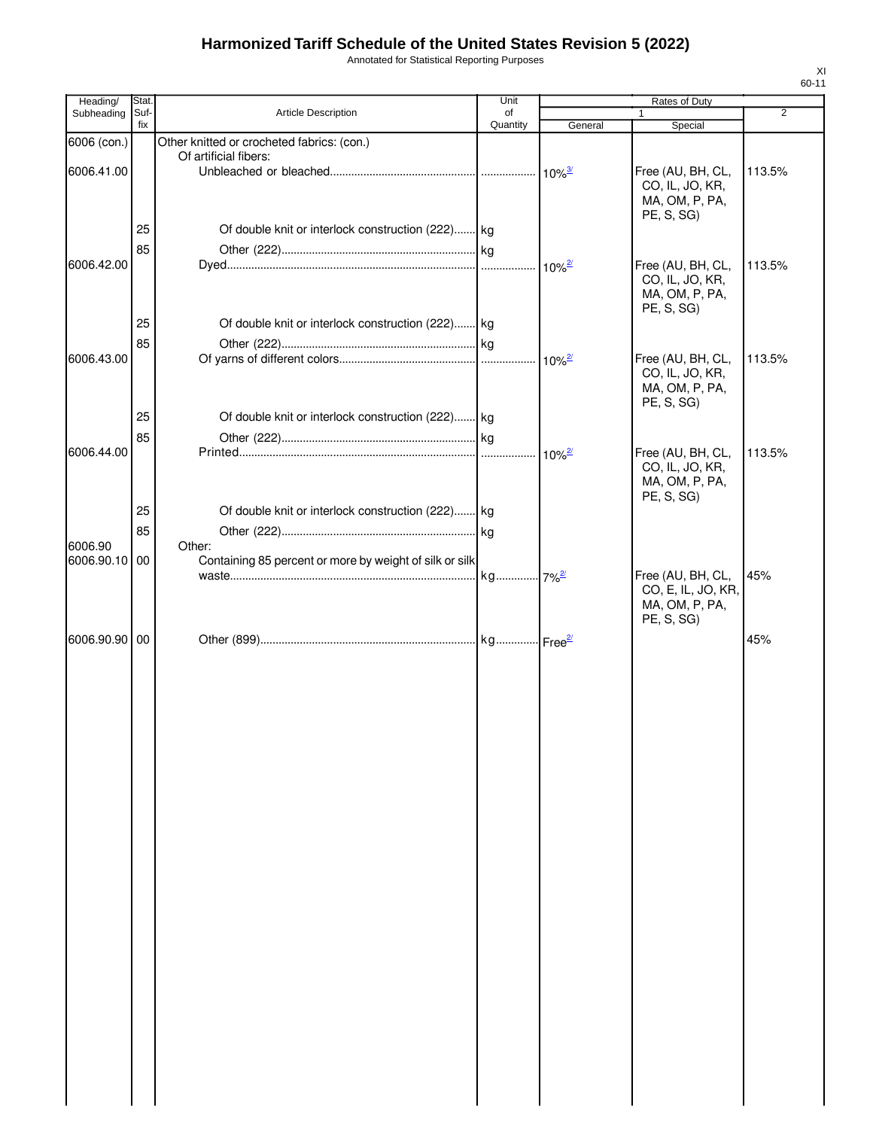Annotated for Statistical Reporting Purposes

| Heading/                 | Stat. |                                                                     | Unit     |                      | Rates of Duty                        |                |
|--------------------------|-------|---------------------------------------------------------------------|----------|----------------------|--------------------------------------|----------------|
| Subheading               | Suf-  | <b>Article Description</b>                                          | of       |                      |                                      | $\overline{2}$ |
|                          | fix   |                                                                     | Quantity | General              | Special                              |                |
| 6006 (con.)              |       | Other knitted or crocheted fabrics: (con.)<br>Of artificial fibers: |          |                      |                                      |                |
| 6006.41.00               |       |                                                                     |          |                      | Free (AU, BH, CL,                    | 113.5%         |
|                          |       |                                                                     |          |                      | CO, IL, JO, KR,                      |                |
|                          |       |                                                                     |          |                      | MA, OM, P, PA,                       |                |
|                          |       |                                                                     |          |                      | PE, S, SG)                           |                |
|                          | 25    | Of double knit or interlock construction (222) kg                   |          |                      |                                      |                |
|                          | 85    |                                                                     |          |                      |                                      |                |
| 6006.42.00               |       |                                                                     |          |                      | Free (AU, BH, CL,<br>CO, IL, JO, KR, | 113.5%         |
|                          |       |                                                                     |          |                      | MA, OM, P, PA,                       |                |
|                          |       |                                                                     |          |                      | PE, S, SG)                           |                |
|                          | 25    | Of double knit or interlock construction (222) kg                   |          |                      |                                      |                |
|                          | 85    |                                                                     |          |                      |                                      |                |
| 6006.43.00               |       |                                                                     |          |                      | Free (AU, BH, CL,                    | 113.5%         |
|                          |       |                                                                     |          |                      | CO, IL, JO, KR,                      |                |
|                          |       |                                                                     |          |                      | MA, OM, P, PA,<br>PE, S, SG)         |                |
|                          | 25    | Of double knit or interlock construction (222) kg                   |          |                      |                                      |                |
|                          | 85    |                                                                     |          |                      |                                      |                |
| 6006.44.00               |       |                                                                     |          | $10\%$ <sup>2/</sup> | Free (AU, BH, CL,                    | 113.5%         |
|                          |       |                                                                     |          |                      | CO, IL, JO, KR,                      |                |
|                          |       |                                                                     |          |                      | MA, OM, P, PA,                       |                |
|                          |       |                                                                     |          |                      | PE, S, SG)                           |                |
|                          | 25    | Of double knit or interlock construction (222) kg                   |          |                      |                                      |                |
|                          | 85    |                                                                     |          |                      |                                      |                |
| 6006.90<br>6006.90.10 00 |       | Other:<br>Containing 85 percent or more by weight of silk or silk   |          |                      |                                      |                |
|                          |       |                                                                     |          |                      | Free (AU, BH, CL,                    | 45%            |
|                          |       |                                                                     |          |                      | CO, E, IL, JO, KR,                   |                |
|                          |       |                                                                     |          |                      | MA, OM, P, PA,                       |                |
|                          |       |                                                                     |          |                      | PE, S, SG)                           |                |
| 6006.90.90 00            |       |                                                                     |          |                      |                                      | 45%            |
|                          |       |                                                                     |          |                      |                                      |                |
|                          |       |                                                                     |          |                      |                                      |                |
|                          |       |                                                                     |          |                      |                                      |                |
|                          |       |                                                                     |          |                      |                                      |                |
|                          |       |                                                                     |          |                      |                                      |                |
|                          |       |                                                                     |          |                      |                                      |                |
|                          |       |                                                                     |          |                      |                                      |                |
|                          |       |                                                                     |          |                      |                                      |                |
|                          |       |                                                                     |          |                      |                                      |                |
|                          |       |                                                                     |          |                      |                                      |                |
|                          |       |                                                                     |          |                      |                                      |                |
|                          |       |                                                                     |          |                      |                                      |                |
|                          |       |                                                                     |          |                      |                                      |                |
|                          |       |                                                                     |          |                      |                                      |                |
|                          |       |                                                                     |          |                      |                                      |                |
|                          |       |                                                                     |          |                      |                                      |                |
|                          |       |                                                                     |          |                      |                                      |                |
|                          |       |                                                                     |          |                      |                                      |                |
|                          |       |                                                                     |          |                      |                                      |                |
|                          |       |                                                                     |          |                      |                                      |                |
|                          |       |                                                                     |          |                      |                                      |                |
|                          |       |                                                                     |          |                      |                                      |                |
|                          |       |                                                                     |          |                      |                                      |                |
|                          |       |                                                                     |          |                      |                                      |                |
|                          |       |                                                                     |          |                      |                                      |                |
|                          |       |                                                                     |          |                      |                                      |                |